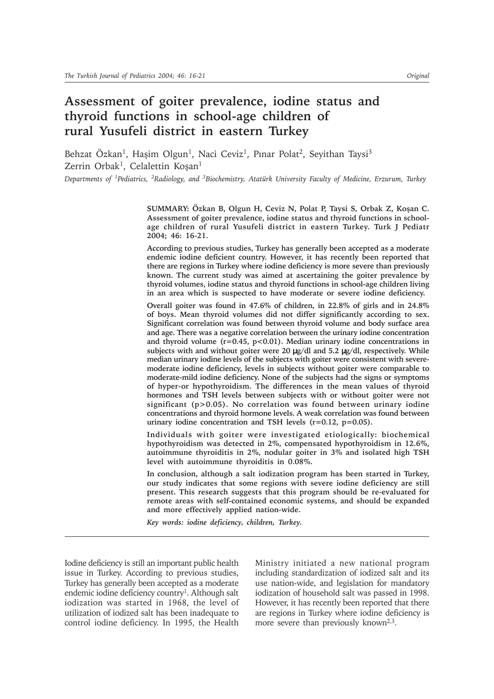# **Assessment of goiter prevalence, iodine status and thyroid functions in school-age children of rural Yusufeli district in eastern Turkey**

Behzat Özkan<sup>1</sup>, Haşim Olgun<sup>1</sup>, Naci Ceviz<sup>1</sup>, Pınar Polat<sup>2</sup>, Seyithan Taysi<sup>3</sup> Zerrin Orbak<sup>1</sup>, Celalettin Koşan<sup>1</sup>

*Departments of 1Pediatrics, 2Radiology, and 3Biochemistry, Atatürk University Faculty of Medicine, Erzurum, Turkey*

**SUMMARY: Özkan B, Olgun H, Ceviz N, Polat P, Taysi S, Orbak Z, Koþan C. Assessment of goiter prevalence, iodine status and thyroid functions in schoolage children of rural Yusufeli district in eastern Turkey. Turk J Pediatr 2004; 46: 16-21.**

**According to previous studies, Turkey has generally been accepted as a moderate endemic iodine deficient country. However, it has recently been reported that there are regions in Turkey where iodine deficiency is more severe than previously known. The current study was aimed at ascertaining the goiter prevalence by thyroid volumes, iodine status and thyroid functions in school-age children living in an area which is suspected to have moderate or severe iodine deficiency.**

**Overall goiter was found in 47.6% of children, in 22.8% of girls and in 24.8% of boys. Mean thyroid volumes did not differ significantly according to sex. Significant correlation was found between thyroid volume and body surface area and age. There was a negative correlation between the urinary iodine concentration and thyroid volume (r=0.45, p<0.01). Median urinary iodine concentrations in subjects with and without goiter were 20** µ**g/dl and 5.2** µ**g/dl, respectively. While median urinary iodine levels of the subjects with goiter were consistent with severemoderate iodine deficiency, levels in subjects without goiter were comparable to moderate-mild iodine deficiency. None of the subjects had the signs or symptoms of hyper-or hypothyroidism. The differences in the mean values of thyroid hormones and TSH levels between subjects with or without goiter were not significant (p>0.05). No correlation was found between urinary iodine concentrations and thyroid hormone levels. A weak correlation was found between urinary iodine concentration and TSH levels (r=0.12, p=0.05).**

**Individuals with goiter were investigated etiologically: biochemical hypothyroidism was detected in 2%, compensated hypothyroidism in 12.6%, autoimmune thyroiditis in 2%, nodular goiter in 3% and isolated high TSH level with autoimmune thyroiditis in 0.08%.**

**In conclusion, although a salt iodization program has been started in Turkey, our study indicates that some regions with severe iodine deficiency are still present. This research suggests that this program should be re-evaluated for remote areas with self-contained economic systems, and should be expanded and more effectively applied nation-wide.**

*Key words: iodine deficiency, children, Turkey.*

Iodine deficiency is still an important public health issue in Turkey. According to previous studies, Turkey has generally been accepted as a moderate endemic iodine deficiency country<sup>1</sup>. Although salt iodization was started in 1968, the level of utilization of iodized salt has been inadequate to control iodine deficiency. In 1995, the Health Ministry initiated a new national program including standardization of iodized salt and its use nation-wide, and legislation for mandatory iodization of household salt was passed in 1998. However, it has recently been reported that there are regions in Turkey where iodine deficiency is more severe than previously known<sup>2,3</sup>.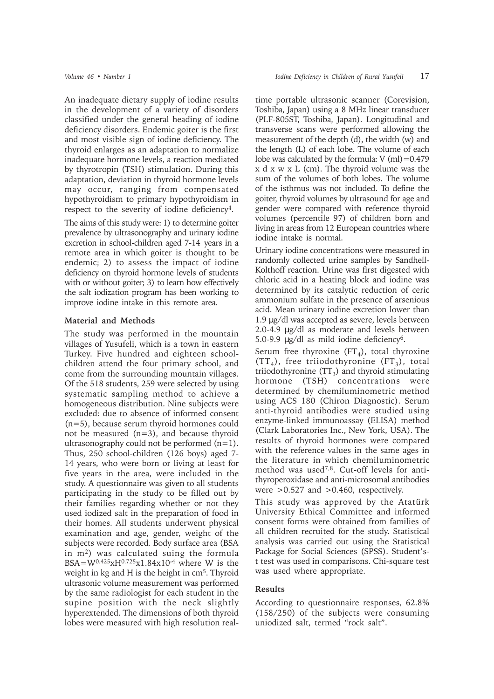An inadequate dietary supply of iodine results in the development of a variety of disorders classified under the general heading of iodine deficiency disorders. Endemic goiter is the first and most visible sign of iodine deficiency. The thyroid enlarges as an adaptation to normalize inadequate hormone levels, a reaction mediated by thyrotropin (TSH) stimulation. During this adaptation, deviation in thyroid hormone levels may occur, ranging from compensated hypothyroidism to primary hypothyroidism in respect to the severity of iodine deficiency4.

The aims of this study were: 1) to determine goiter prevalence by ultrasonography and urinary iodine excretion in school-children aged 7-14 years in a remote area in which goiter is thought to be endemic; 2) to assess the impact of iodine deficiency on thyroid hormone levels of students with or without goiter; 3) to learn how effectively the salt iodization program has been working to improve iodine intake in this remote area.

## **Material and Methods**

The study was performed in the mountain villages of Yusufeli, which is a town in eastern Turkey. Five hundred and eighteen schoolchildren attend the four primary school, and come from the surrounding mountain villages. Of the 518 students, 259 were selected by using systematic sampling method to achieve a homogeneous distribution. Nine subjects were excluded: due to absence of informed consent (n=5), because serum thyroid hormones could not be measured (n=3), and because thyroid ultrasonography could not be performed  $(n=1)$ . Thus, 250 school-children (126 boys) aged 7- 14 years, who were born or living at least for five years in the area, were included in the study. A questionnaire was given to all students participating in the study to be filled out by their families regarding whether or not they used iodized salt in the preparation of food in their homes. All students underwent physical examination and age, gender, weight of the subjects were recorded. Body surface area (BSA in m2) was calculated suing the formula  $BSA = W^{0.425}xH^{0.725}x1.84x10^{-4}$  where W is the weight in kg and H is the height in cm<sup>5</sup>. Thyroid ultrasonic volume measurement was performed by the same radiologist for each student in the supine position with the neck slightly hyperextended. The dimensions of both thyroid lobes were measured with high resolution real-

time portable ultrasonic scanner (Corevision, Toshiba, Japan) using a 8 MHz linear transducer (PLF-805ST, Toshiba, Japan). Longitudinal and transverse scans were performed allowing the measurement of the depth (d), the width (w) and the length (L) of each lobe. The volume of each lobe was calculated by the formula:  $V$  (ml) = 0.479 x d x w x L (cm). The thyroid volume was the sum of the volumes of both lobes. The volume of the isthmus was not included. To define the goiter, thyroid volumes by ultrasound for age and gender were compared with reference thyroid volumes (percentile 97) of children born and living in areas from 12 European countries where iodine intake is normal.

Urinary iodine concentrations were measured in randomly collected urine samples by Sandhell-Kolthoff reaction. Urine was first digested with chloric acid in a heating block and iodine was determined by its catalytic reduction of ceric ammonium sulfate in the presence of arsenious acid. Mean urinary iodine excretion lower than 1.9 µg/dl was accepted as severe, levels between 2.0-4.9 µg/dl as moderate and levels between 5.0-9.9 µg/dl as mild iodine deficiency6.

Serum free thyroxine  $(FT<sub>A</sub>)$ , total thyroxine  $(TT_4)$ , free triiodothyronine  $(FT_3)$ , total triiodothyronine  $(TT_3)$  and thyroid stimulating hormone (TSH) concentrations were determined by chemiluminometric method using ACS 180 (Chiron Diagnostic). Serum anti-thyroid antibodies were studied using enzyme-linked immunoassay (ELISA) method (Clark Laboratories Inc., New York, USA). The results of thyroid hormones were compared with the reference values in the same ages in the literature in which chemiluminometric method was used7,8. Cut-off levels for antithyroperoxidase and anti-microsomal antibodies were  $>0.527$  and  $>0.460$ , respectively.

This study was approved by the Atatürk University Ethical Committee and informed consent forms were obtained from families of all children recruited for the study. Statistical analysis was carried out using the Statistical Package for Social Sciences (SPSS). Student'st test was used in comparisons. Chi-square test was used where appropriate.

# **Results**

According to questionnaire responses, 62.8% (158/250) of the subjects were consuming uniodized salt, termed "rock salt".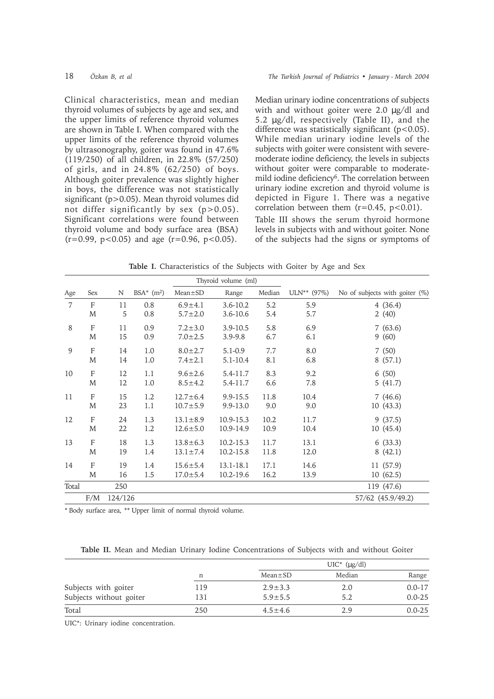Clinical characteristics, mean and median thyroid volumes of subjects by age and sex, and the upper limits of reference thyroid volumes are shown in Table I. When compared with the upper limits of the reference thyroid volumes by ultrasonography, goiter was found in 47.6% (119/250) of all children, in 22.8% (57/250) of girls, and in 24.8% (62/250) of boys. Although goiter prevalence was slightly higher in boys, the difference was not statistically significant (p>0.05). Mean thyroid volumes did not differ significantly by sex (p>0.05). Significant correlations were found between thyroid volume and body surface area (BSA)  $(r=0.99, p<0.05)$  and age  $(r=0.96, p<0.05)$ .

Median urinary iodine concentrations of subjects with and without goiter were 2.0  $\mu$ g/dl and 5.2 µg/dl, respectively (Table II), and the difference was statistically significant  $(p<0.05)$ . While median urinary iodine levels of the subjects with goiter were consistent with severemoderate iodine deficiency, the levels in subjects without goiter were comparable to moderatemild iodine deficiency<sup>6</sup>. The correlation between urinary iodine excretion and thyroid volume is depicted in Figure 1. There was a negative correlation between them  $(r=0.45, p<0.01)$ .

Table III shows the serum thyroid hormone levels in subjects with and without goiter. None of the subjects had the signs or symptoms of

**Table I.** Characteristics of the Subjects with Goiter by Age and Sex

| Thyroid volume (ml) |              |         |              |                |              |        |               |                                |
|---------------------|--------------|---------|--------------|----------------|--------------|--------|---------------|--------------------------------|
| Age                 | Sex          | N       | BSA* $(m^2)$ | $Mean \pm SD$  | Range        | Median | $ULN**$ (97%) | No of subjects with goiter (%) |
| $\overline{7}$      | $\mathbf{F}$ | 11      | 0.8          | $6.9 + 4.1$    | $3.6 - 10.2$ | 5.2    | 5.9           | 4(36.4)                        |
|                     | M            | 5       | 0.8          | $5.7 \pm 2.0$  | $3.6 - 10.6$ | 5.4    | 5.7           | 2(40)                          |
| 8                   | F            | 11      | 0.9          | $7.2 \pm 3.0$  | $3.9 - 10.5$ | 5.8    | 6.9           | 7(63.6)                        |
|                     | M            | 15      | 0.9          | $7.0 \pm 2.5$  | $3.9 - 9.8$  | 6.7    | 6.1           | 9(60)                          |
| 9                   | $\mathbf{F}$ | 14      | 1.0          | $8.0 \pm 2.7$  | $5.1 - 0.9$  | 7.7    | 8.0           | 7(50)                          |
|                     | M            | 14      | 1.0          | $7.4 \pm 2.1$  | $5.1 - 10.4$ | 8.1    | 6.8           | 8(57.1)                        |
| 10                  | F            | 12      | 1.1          | $9.6 \pm 2.6$  | 5.4-11.7     | 8.3    | 9.2           | 6(50)                          |
|                     | M            | 12      | 1.0          | $8.5 \pm 4.2$  | 5.4-11.7     | 6.6    | 7.8           | 5(41.7)                        |
| 11                  | F            | 15      | 1.2          | $12.7 \pm 6.4$ | 9.9-15.5     | 11.8   | 10.4          | 7(46.6)                        |
|                     | M            | 23      | 1.1          | $10.7 + 5.9$   | $9.9 - 13.0$ | 9.0    | 9.0           | 10(43.3)                       |
| 12                  | $\mathbf{F}$ | 24      | 1.3          | $13.1 \pm 8.9$ | 10.9-15.3    | 10.2   | 11.7          | 9(37.5)                        |
|                     | M            | 22      | 1.2          | $12.6 \pm 5.0$ | 10.9-14.9    | 10.9   | 10.4          | 10(45.4)                       |
| 13                  | F            | 18      | 1.3          | $13.8 \pm 6.3$ | 10.2-15.3    | 11.7   | 13.1          | 6(33.3)                        |
|                     | M            | 19      | 1.4          | $13.1 \pm 7.4$ | 10.2-15.8    | 11.8   | 12.0          | 8(42.1)                        |
| 14                  | $\mathbf{F}$ | 19      | 1.4          | $15.6 \pm 5.4$ | 13.1-18.1    | 17.1   | 14.6          | 11 (57.9)                      |
|                     | M            | 16      | 1.5          | $17.0 \pm 5.4$ | 10.2-19.6    | 16.2   | 13.9          | 10(62.5)                       |
| Total               |              | 250     |              |                |              |        |               | 119 (47.6)                     |
|                     | F/M          | 124/126 |              |                |              |        |               | 57/62 (45.9/49.2)              |

\* Body surface area, \*\* Upper limit of normal thyroid volume.

**Table II.** Mean and Median Urinary Iodine Concentrations of Subjects with and without Goiter

|                         |     |               | $UIC^*$ ( $\mu$ g/dl) |            |
|-------------------------|-----|---------------|-----------------------|------------|
|                         | n   | $Mean \pm SD$ | Median                | Range      |
| Subjects with goiter    | 119 | $2.9 \pm 3.3$ | 2.0                   | $0.0 - 17$ |
| Subjects without goiter | 131 | $5.9 \pm 5.5$ | 5.2                   | $0.0 - 25$ |
| Total                   | 250 | $4.5 \pm 4.6$ | 2.9                   | $0.0 - 25$ |

UIC\*: Urinary iodine concentration.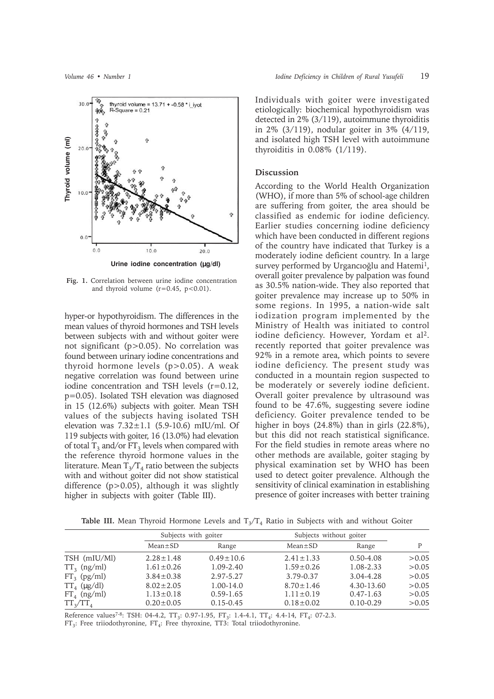

**Fig. 1.** Correlation between urine iodine concentration and thyroid volume  $(r=0.45, p<0.01)$ .

hyper-or hypothyroidism. The differences in the mean values of thyroid hormones and TSH levels between subjects with and without goiter were not significant (p>0.05). No correlation was found between urinary iodine concentrations and thyroid hormone levels (p>0.05). A weak negative correlation was found between urine iodine concentration and TSH levels (r=0.12, p=0.05). Isolated TSH elevation was diagnosed in 15 (12.6%) subjects with goiter. Mean TSH values of the subjects having isolated TSH elevation was  $7.32 \pm 1.1$  (5.9-10.6) mIU/ml. Of 119 subjects with goiter, 16 (13.0%) had elevation of total  $T_3$  and/or  $FT_3$  levels when compared with the reference thyroid hormone values in the literature. Mean  $T_3/T_4$  ratio between the subjects with and without goiter did not show statistical difference (p>0.05), although it was slightly higher in subjects with goiter (Table III).

Individuals with goiter were investigated etiologically: biochemical hypothyroidism was detected in 2% (3/119), autoimmune thyroiditis in 2% (3/119), nodular goiter in 3% (4/119, and isolated high TSH level with autoimmune thyroiditis in 0.08% (1/119).

## **Discussion**

According to the World Health Organization (WHO), if more than 5% of school-age children are suffering from goiter, the area should be classified as endemic for iodine deficiency. Earlier studies concerning iodine deficiency which have been conducted in different regions of the country have indicated that Turkey is a moderately iodine deficient country. In a large survey performed by Urgancioğlu and Hatemi<sup>1</sup>, overall goiter prevalence by palpation was found as 30.5% nation-wide. They also reported that goiter prevalence may increase up to 50% in some regions. In 1995, a nation-wide salt iodization program implemented by the Ministry of Health was initiated to control iodine deficiency. However, Yordam et al<sup>2</sup>. recently reported that goiter prevalence was 92% in a remote area, which points to severe iodine deficiency. The present study was conducted in a mountain region suspected to be moderately or severely iodine deficient. Overall goiter prevalence by ultrasound was found to be 47.6%, suggesting severe iodine deficiency. Goiter prevalence tended to be higher in boys  $(24.8\%)$  than in girls  $(22.8\%)$ , but this did not reach statistical significance. For the field studies in remote areas where no other methods are available, goiter staging by physical examination set by WHO has been used to detect goiter prevalence. Although the sensitivity of clinical examination in establishing presence of goiter increases with better training

**Table III.** Mean Thyroid Hormone Levels and  $T_3/T_4$  Ratio in Subjects with and without Goiter

|                  | Subjects with goiter |                 | Subjects without goiter |               | P      |
|------------------|----------------------|-----------------|-------------------------|---------------|--------|
|                  | $Mean \pm SD$        | Range           | $Mean \pm SD$           | Range         |        |
| TSH (mIU/Ml)     | $2.28 \pm 1.48$      | $0.49 \pm 10.6$ | $2.41 \pm 1.33$         | $0.50 - 4.08$ | > 0.05 |
| $TT_3$ (ng/ml)   | $1.61 \pm 0.26$      | $1.09 - 2.40$   | $1.59 \pm 0.26$         | 1.08-2.33     | > 0.05 |
| $FT_3$ (pg/ml)   | $3.84 \pm 0.38$      | 2.97-5.27       | 3.79-0.37               | 3.04-4.28     | > 0.05 |
| $TT_4$ (µg/dl)   | $8.02 \pm 2.05$      | $1.00 - 14.0$   | $8.70 \pm 1.46$         | 4.30-13.60    | > 0.05 |
| $FT_{4}$ (ng/ml) | $1.13 \pm 0.18$      | $0.59 - 1.65$   | $1.11 \pm 0.19$         | $0.47 - 1.63$ | > 0.05 |
| $TT_{3}/TT_{4}$  | $0.20 \pm 0.05$      | $0.15 - 0.45$   | $0.18 \pm 0.02$         | $0.10 - 0.29$ | > 0.05 |

Reference values<sup>7-8</sup>: TSH: 04-4.2, TT<sub>3</sub>: 0.97-1.95, FT<sub>3</sub>: 1.4-4.1, TT<sub>4</sub>: 4.4-14, FT<sub>4</sub>: 07-2.3.

 $FT_3$ : Free triiodothyronine,  $FT_4$ : Free thyroxine, TT3: Total triiodothyronine.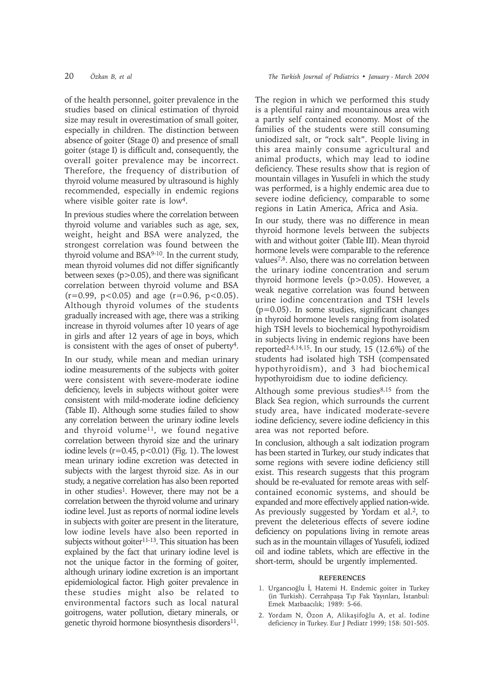of the health personnel, goiter prevalence in the studies based on clinical estimation of thyroid size may result in overestimation of small goiter, especially in children. The distinction between absence of goiter (Stage 0) and presence of small goiter (stage I) is difficult and, consequently, the overall goiter prevalence may be incorrect. Therefore, the frequency of distribution of thyroid volume measured by ultrasound is highly recommended, especially in endemic regions where visible goiter rate is low<sup>4</sup>.

In previous studies where the correlation between thyroid volume and variables such as age, sex, weight, height and BSA were analyzed, the strongest correlation was found between the thyroid volume and BSA9-10. In the current study, mean thyroid volumes did not differ significantly between sexes  $(p>0.05)$ , and there was significant correlation between thyroid volume and BSA  $(r=0.99, p<0.05)$  and age  $(r=0.96, p<0.05)$ . Although thyroid volumes of the students gradually increased with age, there was a striking increase in thyroid volumes after 10 years of age in girls and after 12 years of age in boys, which is consistent with the ages of onset of puberty4.

In our study, while mean and median urinary iodine measurements of the subjects with goiter were consistent with severe-moderate iodine deficiency, levels in subjects without goiter were consistent with mild-moderate iodine deficiency (Table II). Although some studies failed to show any correlation between the urinary iodine levels and thyroid volume<sup>11</sup>, we found negative correlation between thyroid size and the urinary iodine levels  $(r=0.45, p<0.01)$  (Fig. 1). The lowest mean urinary iodine excretion was detected in subjects with the largest thyroid size. As in our study, a negative correlation has also been reported in other studies<sup>1</sup>. However, there may not be a correlation between the thyroid volume and urinary iodine level. Just as reports of normal iodine levels in subjects with goiter are present in the literature, low iodine levels have also been reported in subjects without goiter<sup>11-13</sup>. This situation has been explained by the fact that urinary iodine level is not the unique factor in the forming of goiter, although urinary iodine excretion is an important epidemiological factor. High goiter prevalence in these studies might also be related to environmental factors such as local natural goitrogens, water pollution, dietary minerals, or genetic thyroid hormone biosynthesis disorders<sup>11</sup>.

The region in which we performed this study is a plentiful rainy and mountainous area with a partly self contained economy. Most of the families of the students were still consuming uniodized salt, or "rock salt". People living in this area mainly consume agricultural and animal products, which may lead to iodine deficiency. These results show that is region of mountain villages in Yusufeli in which the study was performed, is a highly endemic area due to severe iodine deficiency, comparable to some regions in Latin America, Africa and Asia.

In our study, there was no difference in mean thyroid hormone levels between the subjects with and without goiter (Table III). Mean thyroid hormone levels were comparable to the reference values7,8. Also, there was no correlation between the urinary iodine concentration and serum thyroid hormone levels (p>0.05). However, a weak negative correlation was found between urine iodine concentration and TSH levels  $(p=0.05)$ . In some studies, significant changes in thyroid hormone levels ranging from isolated high TSH levels to biochemical hypothyroidism in subjects living in endemic regions have been reported<sup>2,4,14,15</sup>. In our study, 15 (12.6%) of the students had isolated high TSH (compensated hypothyroidism), and 3 had biochemical hypothyroidism due to iodine deficiency.

Although some previous studies $8,15$  from the Black Sea region, which surrounds the current study area, have indicated moderate-severe iodine deficiency, severe iodine deficiency in this area was not reported before.

In conclusion, although a salt iodization program has been started in Turkey, our study indicates that some regions with severe iodine deficiency still exist. This research suggests that this program should be re-evaluated for remote areas with selfcontained economic systems, and should be expanded and more effectively applied nation-wide. As previously suggested by Yordam et al.<sup>2</sup>, to prevent the deleterious effects of severe iodine deficiency on populations living in remote areas such as in the mountain villages of Yusufeli, iodized oil and iodine tablets, which are effective in the short-term, should be urgently implemented.

#### **REFERENCES**

- 1. Urgancıoğlu İ, Hatemi H. Endemic goiter in Turkey (in Turkish). Cerrahpaşa Tıp Fak Yayınları, İstanbul: Emek Matbaacılık:  $1989: 5-66$ .
- 2. Yordam N, Özon A, Alikasifoğlu A, et al. Iodine deficiency in Turkey. Eur J Pediatr 1999; 158: 501-505.